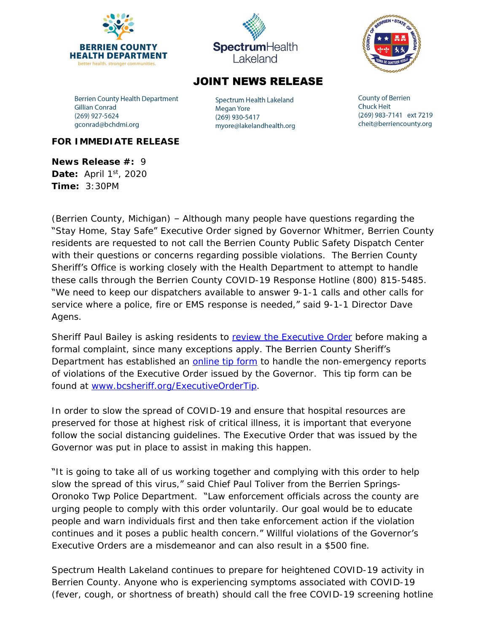



## **JOINT NEWS RELEASE**

**Berrien County Health Department Gillian Conrad** (269) 927-5624 gconrad@bchdmi.org

Spectrum Health Lakeland **Megan Yore** (269) 930-5417 myore@lakelandhealth.org **County of Berrien Chuck Heit** (269) 983-7141 ext 7219 cheit@berriencounty.org

## **FOR IMMEDIATE RELEASE**

**News Release #:** 9 **Date:** April 1<sup>st</sup>, 2020 **Time:** 3:30PM

(Berrien County, Michigan) – Although many people have questions regarding the "Stay Home, Stay Safe" Executive Order signed by Governor Whitmer, Berrien County residents are requested to not call the Berrien County Public Safety Dispatch Center with their questions or concerns regarding possible violations. The Berrien County Sheriff's Office is working closely with the Health Department to attempt to handle these calls through the Berrien County COVID-19 Response Hotline (800) 815-5485. "We need to keep our dispatchers available to answer 9-1-1 calls and other calls for service where a police, fire or EMS response is needed," said 9-1-1 Director Dave Agens.

Sheriff Paul Bailey is asking residents to review the Executive Order before making a [formal complaint, since many exceptions apply. The Berrien County Sheriff](https://www.michigan.gov/whitmer/0,9309,7-387-90499_90705-522626--,00.html)'s [Department has established an](https://www.michigan.gov/whitmer/0,9309,7-387-90499_90705-522626--,00.html) **[online tip form](https://www.berriencounty.org/FormCenter/Sheriffs-Department-7/Executive-Order-Tip-Form-123)** to handle the non-emergency reports of violations of the Executive Order issued by the Governor. This tip form can be found at [www.bcsheriff.org/ExecutiveOrderTip.](http://www.bcsheriff.org/ExecutiveOrderTip)

In order to slow the spread of COVID-19 and ensure that hospital resources are preserved for those at highest risk of critical illness, it is important that everyone follow the social distancing guidelines. The Executive Order that was issued by the Governor was put in place to assist in making this happen.

"It is going to take all of us working together and complying with this order to help slow the spread of this virus," said Chief Paul Toliver from the Berrien Springs-Oronoko Twp Police Department. "Law enforcement officials across the county are urging people to comply with this order voluntarily. Our goal would be to educate people and warn individuals first and then take enforcement action if the violation continues and it poses a public health concern." Willful violations of the Governor's Executive Orders are a misdemeanor and can also result in a \$500 fine.

Spectrum Health Lakeland continues to prepare for heightened COVID-19 activity in Berrien County. Anyone who is experiencing symptoms associated with COVID-19 (fever, cough, or shortness of breath) should call the free COVID-19 screening hotline